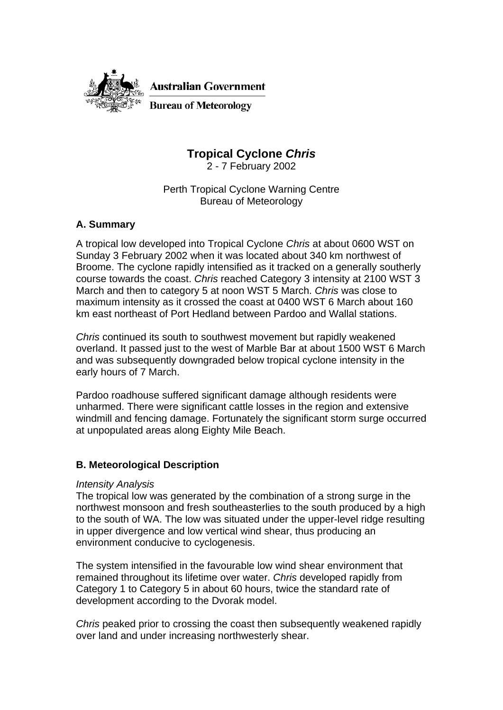

**Australian Government** 

**Bureau of Meteorology** 

# **Tropical Cyclone** *Chris*

2 - 7 February 2002

Perth Tropical Cyclone Warning Centre Bureau of Meteorology

## **A. Summary**

A tropical low developed into Tropical Cyclone *Chris* at about 0600 WST on Sunday 3 February 2002 when it was located about 340 km northwest of Broome. The cyclone rapidly intensified as it tracked on a generally southerly course towards the coast. *Chris* reached Category 3 intensity at 2100 WST 3 March and then to category 5 at noon WST 5 March. *Chris* was close to maximum intensity as it crossed the coast at 0400 WST 6 March about 160 km east northeast of Port Hedland between Pardoo and Wallal stations.

*Chris* continued its south to southwest movement but rapidly weakened overland. It passed just to the west of Marble Bar at about 1500 WST 6 March and was subsequently downgraded below tropical cyclone intensity in the early hours of 7 March.

Pardoo roadhouse suffered significant damage although residents were unharmed. There were significant cattle losses in the region and extensive windmill and fencing damage. Fortunately the significant storm surge occurred at unpopulated areas along Eighty Mile Beach.

## **B. Meteorological Description**

## *Intensity Analysis*

The tropical low was generated by the combination of a strong surge in the northwest monsoon and fresh southeasterlies to the south produced by a high to the south of WA. The low was situated under the upper-level ridge resulting in upper divergence and low vertical wind shear, thus producing an environment conducive to cyclogenesis.

The system intensified in the favourable low wind shear environment that remained throughout its lifetime over water. *Chris* developed rapidly from Category 1 to Category 5 in about 60 hours, twice the standard rate of development according to the Dvorak model.

*Chris* peaked prior to crossing the coast then subsequently weakened rapidly over land and under increasing northwesterly shear.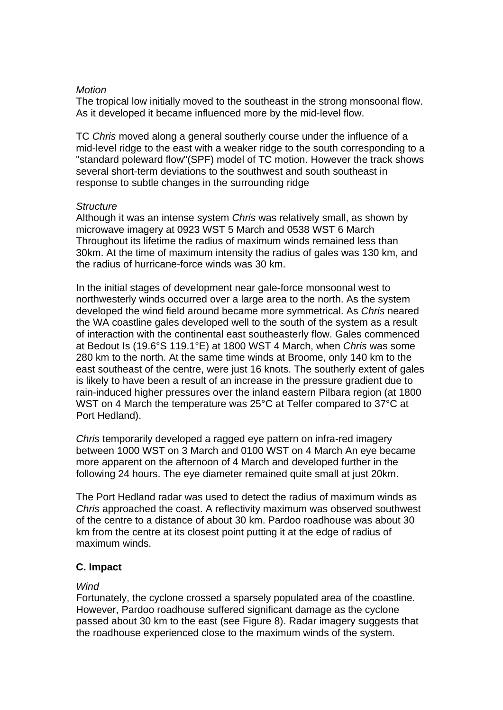#### *Motion*

The tropical low initially moved to the southeast in the strong monsoonal flow. As it developed it became influenced more by the mid-level flow.

TC *Chris* moved along a general southerly course under the influence of a mid-level ridge to the east with a weaker ridge to the south corresponding to a "standard poleward flow"(SPF) model of TC motion. However the track shows several short-term deviations to the southwest and south southeast in response to subtle changes in the surrounding ridge

#### *Structure*

Although it was an intense system *Chris* was relatively small, as shown by microwave imagery at 0923 WST 5 March and 0538 WST 6 March Throughout its lifetime the radius of maximum winds remained less than 30km. At the time of maximum intensity the radius of gales was 130 km, and the radius of hurricane-force winds was 30 km.

In the initial stages of development near gale-force monsoonal west to northwesterly winds occurred over a large area to the north. As the system developed the wind field around became more symmetrical. As *Chris* neared the WA coastline gales developed well to the south of the system as a result of interaction with the continental east southeasterly flow. Gales commenced at Bedout Is (19.6°S 119.1°E) at 1800 WST 4 March, when *Chris* was some 280 km to the north. At the same time winds at Broome, only 140 km to the east southeast of the centre, were just 16 knots. The southerly extent of gales is likely to have been a result of an increase in the pressure gradient due to rain-induced higher pressures over the inland eastern Pilbara region (at 1800 WST on 4 March the temperature was 25°C at Telfer compared to 37°C at Port Hedland).

*Chris* temporarily developed a ragged eye pattern on infra-red imagery between 1000 WST on 3 March and 0100 WST on 4 March An eye became more apparent on the afternoon of 4 March and developed further in the following 24 hours. The eye diameter remained quite small at just 20km.

The Port Hedland radar was used to detect the radius of maximum winds as *Chris* approached the coast. A reflectivity maximum was observed southwest of the centre to a distance of about 30 km. Pardoo roadhouse was about 30 km from the centre at its closest point putting it at the edge of radius of maximum winds.

## **C. Impact**

## *Wind*

Fortunately, the cyclone crossed a sparsely populated area of the coastline. However, Pardoo roadhouse suffered significant damage as the cyclone passed about 30 km to the east (see Figure 8). Radar imagery suggests that the roadhouse experienced close to the maximum winds of the system.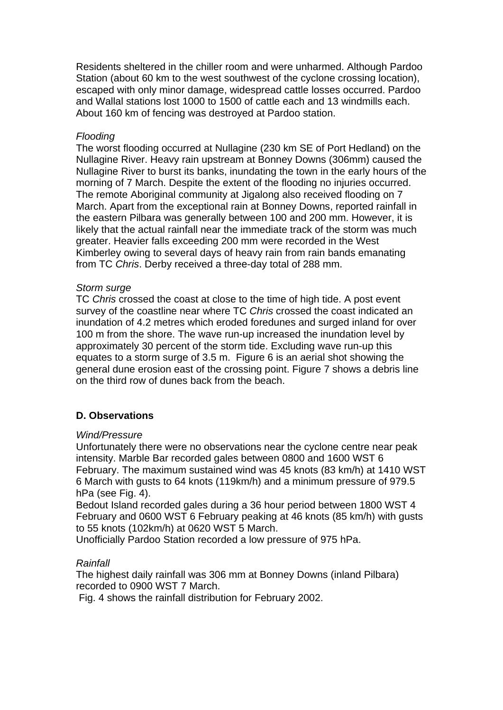Residents sheltered in the chiller room and were unharmed. Although Pardoo Station (about 60 km to the west southwest of the cyclone crossing location), escaped with only minor damage, widespread cattle losses occurred. Pardoo and Wallal stations lost 1000 to 1500 of cattle each and 13 windmills each. About 160 km of fencing was destroyed at Pardoo station.

#### *Flooding*

The worst flooding occurred at Nullagine (230 km SE of Port Hedland) on the Nullagine River. Heavy rain upstream at Bonney Downs (306mm) caused the Nullagine River to burst its banks, inundating the town in the early hours of the morning of 7 March. Despite the extent of the flooding no injuries occurred. The remote Aboriginal community at Jigalong also received flooding on 7 March. Apart from the exceptional rain at Bonney Downs, reported rainfall in the eastern Pilbara was generally between 100 and 200 mm. However, it is likely that the actual rainfall near the immediate track of the storm was much greater. Heavier falls exceeding 200 mm were recorded in the West Kimberley owing to several days of heavy rain from rain bands emanating from TC *Chris*. Derby received a three-day total of 288 mm.

#### *Storm surge*

TC *Chris* crossed the coast at close to the time of high tide. A post event survey of the coastline near where TC *Chris* crossed the coast indicated an inundation of 4.2 metres which eroded foredunes and surged inland for over 100 m from the shore. The wave run-up increased the inundation level by approximately 30 percent of the storm tide. Excluding wave run-up this equates to a storm surge of 3.5 m. Figure 6 is an aerial shot showing the general dune erosion east of the crossing point. Figure 7 shows a debris line on the third row of dunes back from the beach.

## **D. Observations**

## *Wind/Pressure*

Unfortunately there were no observations near the cyclone centre near peak intensity. Marble Bar recorded gales between 0800 and 1600 WST 6 February. The maximum sustained wind was 45 knots (83 km/h) at 1410 WST 6 March with gusts to 64 knots (119km/h) and a minimum pressure of 979.5 hPa (see Fig. 4).

Bedout Island recorded gales during a 36 hour period between 1800 WST 4 February and 0600 WST 6 February peaking at 46 knots (85 km/h) with gusts to 55 knots (102km/h) at 0620 WST 5 March.

Unofficially Pardoo Station recorded a low pressure of 975 hPa.

## *Rainfall*

The highest daily rainfall was 306 mm at Bonney Downs (inland Pilbara) recorded to 0900 WST 7 March.

Fig. 4 shows the rainfall distribution for February 2002.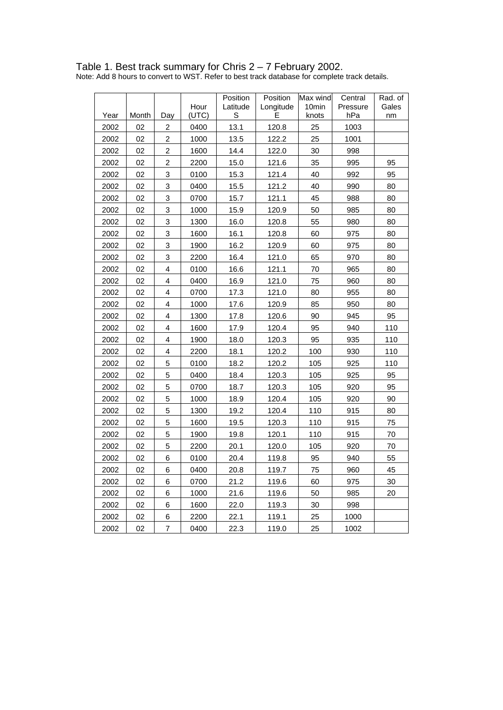#### Table 1. Best track summary for Chris 2 – 7 February 2002.

Note: Add 8 hours to convert to WST. Refer to best track database for complete track details.

|      |       |                |       | Position | Position  | Max wind | Central  | Rad. of |
|------|-------|----------------|-------|----------|-----------|----------|----------|---------|
|      |       |                | Hour  | Latitude | Longitude | 10min    | Pressure | Gales   |
| Year | Month | Day            | (UTC) | S        | E         | knots    | hPa      | nm      |
| 2002 | 02    | $\overline{2}$ | 0400  | 13.1     | 120.8     | 25       | 1003     |         |
| 2002 | 02    | $\overline{c}$ | 1000  | 13.5     | 122.2     | 25       | 1001     |         |
| 2002 | 02    | $\overline{2}$ | 1600  | 14.4     | 122.0     | 30       | 998      |         |
| 2002 | 02    | $\overline{c}$ | 2200  | 15.0     | 121.6     | 35       | 995      | 95      |
| 2002 | 02    | 3              | 0100  | 15.3     | 121.4     | 40       | 992      | 95      |
| 2002 | 02    | 3              | 0400  | 15.5     | 121.2     | 40       | 990      | 80      |
| 2002 | 02    | 3              | 0700  | 15.7     | 121.1     | 45       | 988      | 80      |
| 2002 | 02    | 3              | 1000  | 15.9     | 120.9     | 50       | 985      | 80      |
| 2002 | 02    | 3              | 1300  | 16.0     | 120.8     | 55       | 980      | 80      |
| 2002 | 02    | 3              | 1600  | 16.1     | 120.8     | 60       | 975      | 80      |
| 2002 | 02    | 3              | 1900  | 16.2     | 120.9     | 60       | 975      | 80      |
| 2002 | 02    | 3              | 2200  | 16.4     | 121.0     | 65       | 970      | 80      |
| 2002 | 02    | $\overline{4}$ | 0100  | 16.6     | 121.1     | 70       | 965      | 80      |
| 2002 | 02    | 4              | 0400  | 16.9     | 121.0     | 75       | 960      | 80      |
| 2002 | 02    | 4              | 0700  | 17.3     | 121.0     | 80       | 955      | 80      |
| 2002 | 02    | $\overline{4}$ | 1000  | 17.6     | 120.9     | 85       | 950      | 80      |
| 2002 | 02    | 4              | 1300  | 17.8     | 120.6     | 90       | 945      | 95      |
| 2002 | 02    | 4              | 1600  | 17.9     | 120.4     | 95       | 940      | 110     |
| 2002 | 02    | $\overline{4}$ | 1900  | 18.0     | 120.3     | 95       | 935      | 110     |
| 2002 | 02    | 4              | 2200  | 18.1     | 120.2     | 100      | 930      | 110     |
| 2002 | 02    | 5              | 0100  | 18.2     | 120.2     | 105      | 925      | 110     |
| 2002 | 02    | 5              | 0400  | 18.4     | 120.3     | 105      | 925      | 95      |
| 2002 | 02    | 5              | 0700  | 18.7     | 120.3     | 105      | 920      | 95      |
| 2002 | 02    | 5              | 1000  | 18.9     | 120.4     | 105      | 920      | 90      |
| 2002 | 02    | 5              | 1300  | 19.2     | 120.4     | 110      | 915      | 80      |
| 2002 | 02    | 5              | 1600  | 19.5     | 120.3     | 110      | 915      | 75      |
| 2002 | 02    | 5              | 1900  | 19.8     | 120.1     | 110      | 915      | 70      |
| 2002 | 02    | 5              | 2200  | 20.1     | 120.0     | 105      | 920      | 70      |
| 2002 | 02    | 6              | 0100  | 20.4     | 119.8     | 95       | 940      | 55      |
| 2002 | 02    | 6              | 0400  | 20.8     | 119.7     | 75       | 960      | 45      |
| 2002 | 02    | 6              | 0700  | 21.2     | 119.6     | 60       | 975      | 30      |
| 2002 | 02    | 6              | 1000  | 21.6     | 119.6     | 50       | 985      | 20      |
| 2002 | 02    | 6              | 1600  | 22.0     | 119.3     | 30       | 998      |         |
| 2002 | 02    | 6              | 2200  | 22.1     | 119.1     | 25       | 1000     |         |
| 2002 | 02    | $\overline{7}$ | 0400  | 22.3     | 119.0     | 25       | 1002     |         |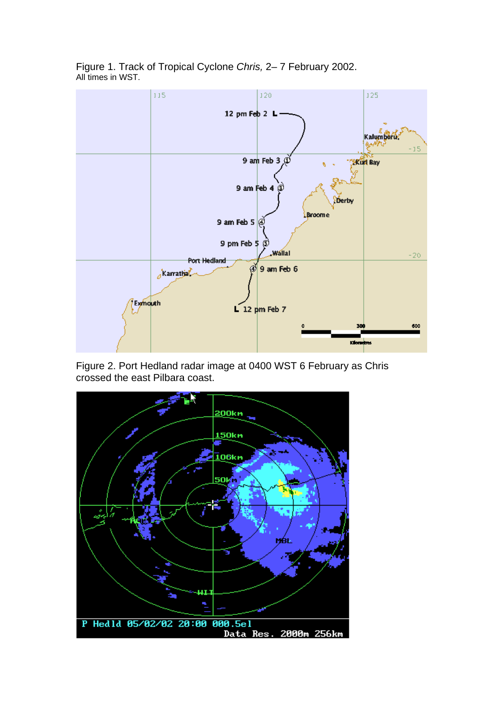

Figure 1. Track of Tropical Cyclone *Chris,* 2– 7 February 2002. All times in WST.

Figure 2. Port Hedland radar image at 0400 WST 6 February as Chris crossed the east Pilbara coast.

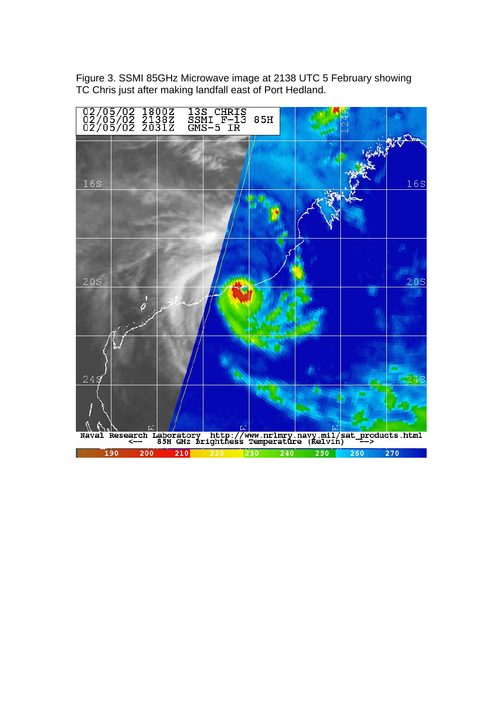

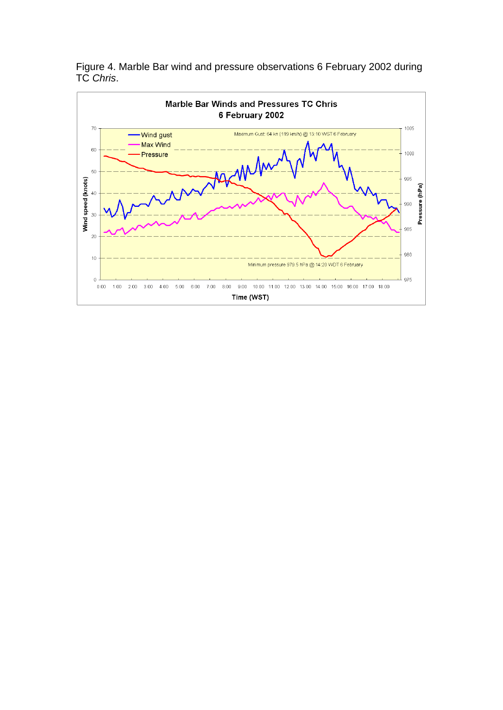

Figure 4. Marble Bar wind and pressure observations 6 February 2002 during TC *Chris*.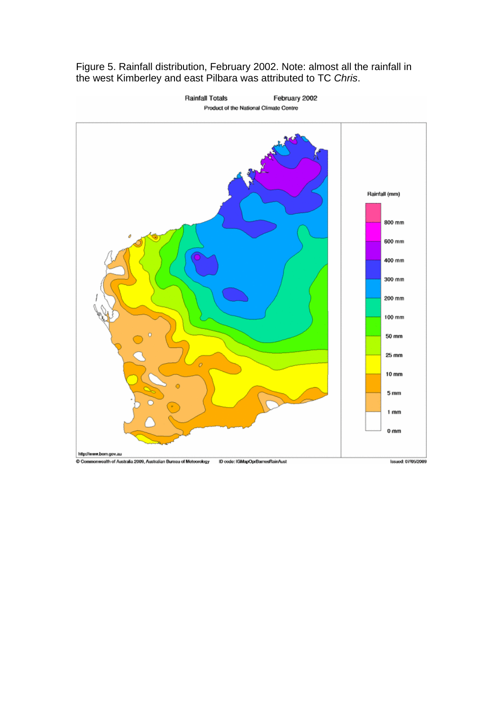Figure 5. Rainfall distribution, February 2002. Note: almost all the rainfall in the west Kimberley and east Pilbara was attributed to TC *Chris*.

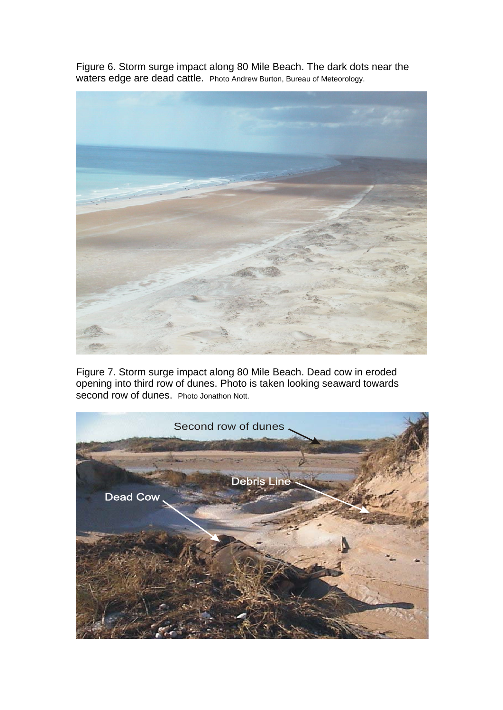Figure 6. Storm surge impact along 80 Mile Beach. The dark dots near the waters edge are dead cattle. Photo Andrew Burton, Bureau of Meteorology.



Figure 7. Storm surge impact along 80 Mile Beach. Dead cow in eroded opening into third row of dunes. Photo is taken looking seaward towards second row of dunes. Photo Jonathon Nott.